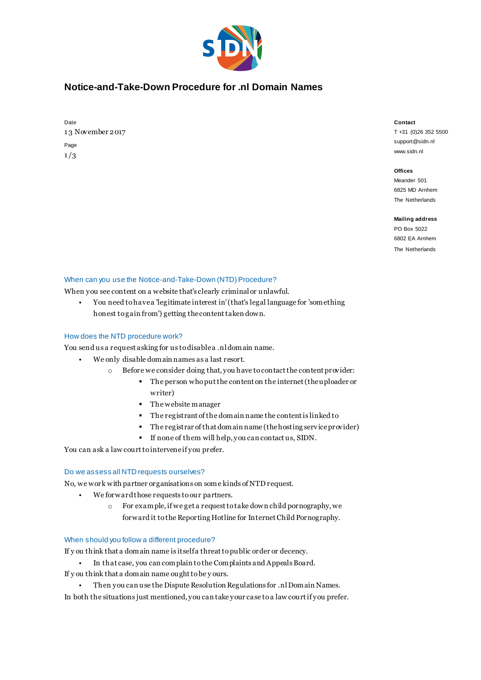

# **Notice-and-Take-Down Procedure for .nl Domain Names**

| Date             |
|------------------|
| 13 November 2017 |
| Page             |
| 1/3              |

#### **Contact**

T +31 (0)26 352 5500 support@sidn.nl www.sidn.nl

### **Offices**

Meander 501 6825 MD Arnhem The Netherlands

#### **Mailing address**

PO Box 5022 6802 EA Arnhem The Netherlands

## When can you use the Notice-and-Take-Down (NTD) Procedure?

When you see content on a website that's clearly criminal or unlawful.

• You need to have a 'legitimate interest in' (that's legal language for 'something honest to gain from') getting the content taken down.

## How does the NTD procedure work?

You send us a request asking for us to disable a .nl domain name.

- We only disable domain names as a last resort.
	- o Before we consider doing that, you have to contact the content provider:
		- The person who put the content on the internet (the uploader or writer)
		- The website manager
		- The registrant of the domain name the content is linked to
		- The registrar of that domain name (the hosting serv ice provider)
		- If none of them will help, you can contact us, SIDN.

You can ask a law court to intervene if you prefer.

## Do we assess all NTD requests ourselves?

No, we work with partner organisations on some kinds of NTD request.

- We forward those requests to our partners.
	- o For example, if we get a request to take down child pornography, we forward it to the Reporting Hotline for Internet Child Pornography.

## When should you follow a different procedure?

If y ou think that a domain name is itself a threat to public order or decency.

- In that case, you can complain to the Complaints and Appeals Board. If y ou think that a domain name ought to be y ours.
- Then you can use the Dispute Resolution Regulations for .nl Domain Names.
- In both the situations just mentioned, you can take your case to a law court if you prefer.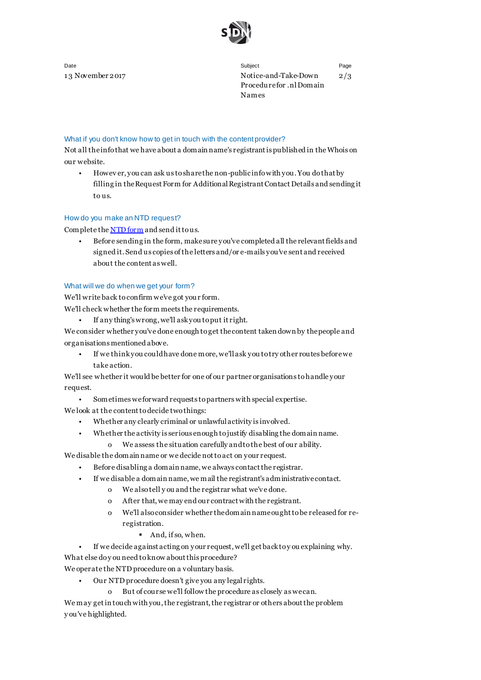

Date Subject Page 13 November 2017 Notice-and-Take-Down Procedure for .nl Domain Names 2/3

## What if you don't know how to get in touch with the content provider?

Not all the info that we have about a domain name's registrant is published in the Whois on our website.

• Howev er, you can ask us to share the non-public info with you. You do that by filling in the Request Form for Additional Registrant Contact Details and sending it to us.

## How do you make an NTD request?

Complete th[e NTD form](https://www.sidn.nl/downloads/forms/Notice_and_take_down_request.pdf) and send it to us.

• Before sending in the form, make sure you've completed all the relevant fields and signed it. Send us copies of the letters and/or e-mails you've sent and received about the content as well.

### What will we do when we get your form?

We'll write back to confirm we've got your form.

- We'll check whether the form meets the requirements.
	- If any thing's wrong, we'll ask you to put it right.

We consider whether you've done enough to get the content taken down by the people and organisations mentioned above.

• If we think you could have done more, we'll ask you to try other routes before we take action.

We'll see whether it would be better for one of our partner organisations to handle your request.

• Sometimes we forward requests to partners with special expertise.

We look at the content to decide two things:

- Whether any clearly criminal or unlawful activity is involved.
- Whether the activity is serious enough to justify disabling the domain name.
	- o We assess the situation carefully and to the best of our ability.

We disable the domain name or we decide not to act on your request.

- Before disabling a domain name, we always contact the registrar.
	- If we disable a domain name, we mail the registrant's administrative contact.
		- o We also tell y ou and the registrar what we'v e done.
		- o After that, we may end our contract with the registrant.
		- o We'll also consider whether the domain name ought to be released for reregistration.
			- And, if so, when.
- If we decide against acting on your request, we'll get back to y ou explaining why.

What else do you need to know about this procedure?

We operate the NTD procedure on a voluntary basis.

- Our NTD procedure doesn't give you any legal rights.
	- o But of course we'll follow the procedure as closely as we can.

We may get in touch with you, the registrant, the registrar or others about the problem y ou've highlighted.